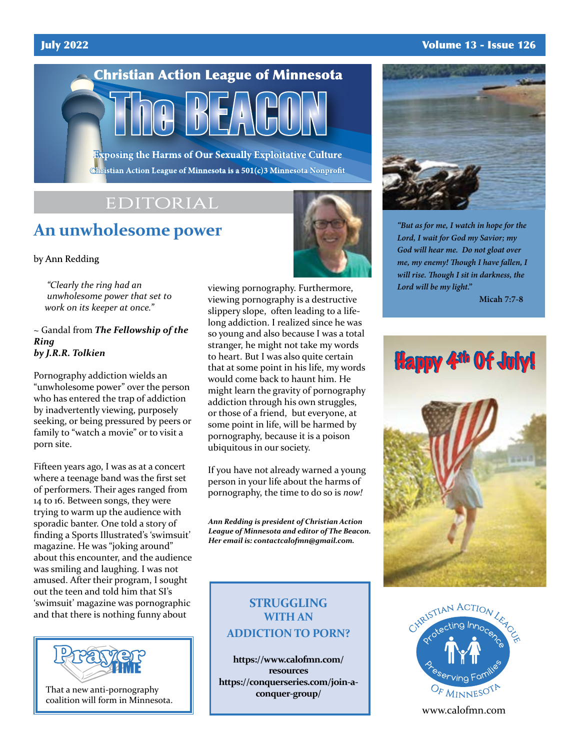#### July 2022 Volume 13 - Issue 126



Christian Action League of Minnesota is a 501(c)3 Minnesota Nonprofit

## EDITORIAL

# **An unwholesome power**

by Ann Redding

 *"Clearly the ring had an unwholesome power that set to work on its keeper at once."*

#### ~ Gandal from *The Fellowship of the Ring by J.R.R. Tolkien*

Pornography addiction wields an "unwholesome power" over the person who has entered the trap of addiction by inadvertently viewing, purposely seeking, or being pressured by peers or family to "watch a movie" or to visit a porn site.

Fifteen years ago, I was as at a concert where a teenage band was the first set of performers. Their ages ranged from 14 to 16. Between songs, they were trying to warm up the audience with sporadic banter. One told a story of finding a Sports Illustrated's 'swimsuit' magazine. He was "joking around" about this encounter, and the audience was smiling and laughing. I was not amused. After their program, I sought out the teen and told him that SI's 'swimsuit' magazine was pornographic and that there is nothing funny about



That a new anti-pornography coalition will form in Minnesota.



viewing pornography. Furthermore, viewing pornography is a destructive slippery slope, often leading to a lifelong addiction. I realized since he was so young and also because I was a total stranger, he might not take my words to heart. But I was also quite certain that at some point in his life, my words would come back to haunt him. He might learn the gravity of pornography addiction through his own struggles, or those of a friend, but everyone, at some point in life, will be harmed by pornography, because it is a poison ubiquitous in our society.

If you have not already warned a young person in your life about the harms of pornography, the time to do so is *now!*

*Ann Redding is president of Christian Action League of Minnesota and editor of The Beacon. Her email is: contactcalofmn@gmail.com.*

### **STRUGGLING WITH AN ADDICTION TO PORN?**

**https://www.calofmn.com/ resources https://conquerseries.com/join-aconquer-group/**



*"But as for me, I watch in hope for the Lord, I wait for God my Savior; my God will hear me. Do not gloat over me, my enemy! Though I have fallen, I will rise. Though I sit in darkness, the Lord will be my light."*

**Micah 7:7-8**





www.calofmn.com